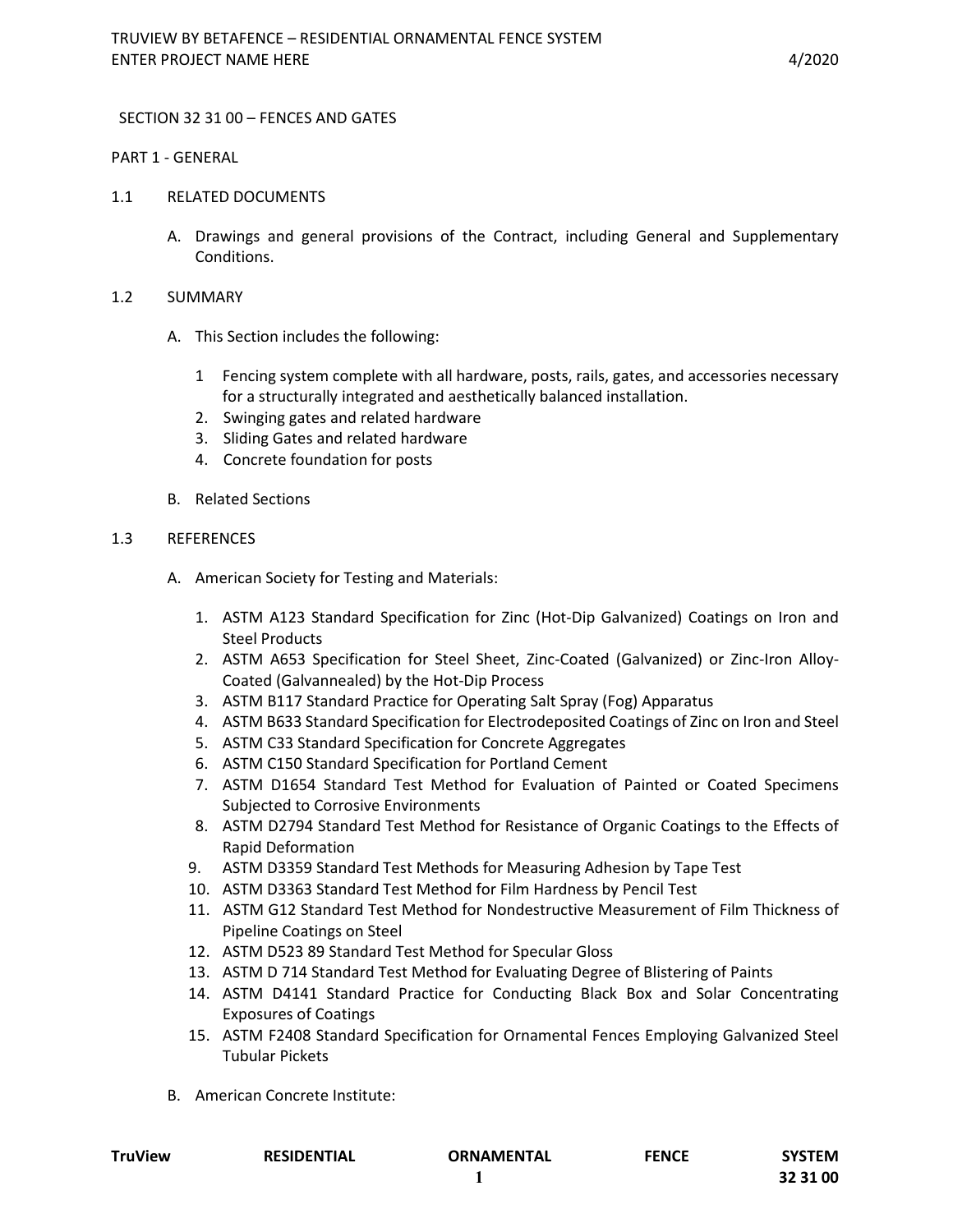### SECTION 32 31 00 – FENCES AND GATES

#### PART 1 - GENERAL

- 1.1 RELATED DOCUMENTS
	- A. Drawings and general provisions of the Contract, including General and Supplementary Conditions.

### 1.2 SUMMARY

- A. This Section includes the following:
	- 1 Fencing system complete with all hardware, posts, rails, gates, and accessories necessary for a structurally integrated and aesthetically balanced installation.
	- 2. Swinging gates and related hardware
	- 3. Sliding Gates and related hardware
	- 4. Concrete foundation for posts
- B. Related Sections

### 1.3 REFERENCES

- A. American Society for Testing and Materials:
	- 1. ASTM A123 Standard Specification for Zinc (Hot-Dip Galvanized) Coatings on Iron and Steel Products
	- 2. ASTM A653 Specification for Steel Sheet, Zinc-Coated (Galvanized) or Zinc-Iron Alloy-Coated (Galvannealed) by the Hot-Dip Process
	- 3. ASTM B117 Standard Practice for Operating Salt Spray (Fog) Apparatus
	- 4. ASTM B633 Standard Specification for Electrodeposited Coatings of Zinc on Iron and Steel
	- 5. ASTM C33 Standard Specification for Concrete Aggregates
	- 6. ASTM C150 Standard Specification for Portland Cement
	- 7. ASTM D1654 Standard Test Method for Evaluation of Painted or Coated Specimens Subjected to Corrosive Environments
	- 8. ASTM D2794 Standard Test Method for Resistance of Organic Coatings to the Effects of Rapid Deformation
	- 9. ASTM D3359 Standard Test Methods for Measuring Adhesion by Tape Test
	- 10. ASTM D3363 Standard Test Method for Film Hardness by Pencil Test
	- 11. ASTM G12 Standard Test Method for Nondestructive Measurement of Film Thickness of Pipeline Coatings on Steel
	- 12. ASTM D523 89 Standard Test Method for Specular Gloss
	- 13. ASTM D 714 Standard Test Method for Evaluating Degree of Blistering of Paints
	- 14. ASTM D4141 Standard Practice for Conducting Black Box and Solar Concentrating Exposures of Coatings
	- 15. ASTM F2408 Standard Specification for Ornamental Fences Employing Galvanized Steel Tubular Pickets
- B. American Concrete Institute:

| <b>TruView</b> | <b>RESIDENTIAL</b> | <b>ORNAMENTAL</b> | <b>FENCE</b> | <b>SYSTEM</b> |
|----------------|--------------------|-------------------|--------------|---------------|
|                |                    |                   |              | 32 31 00      |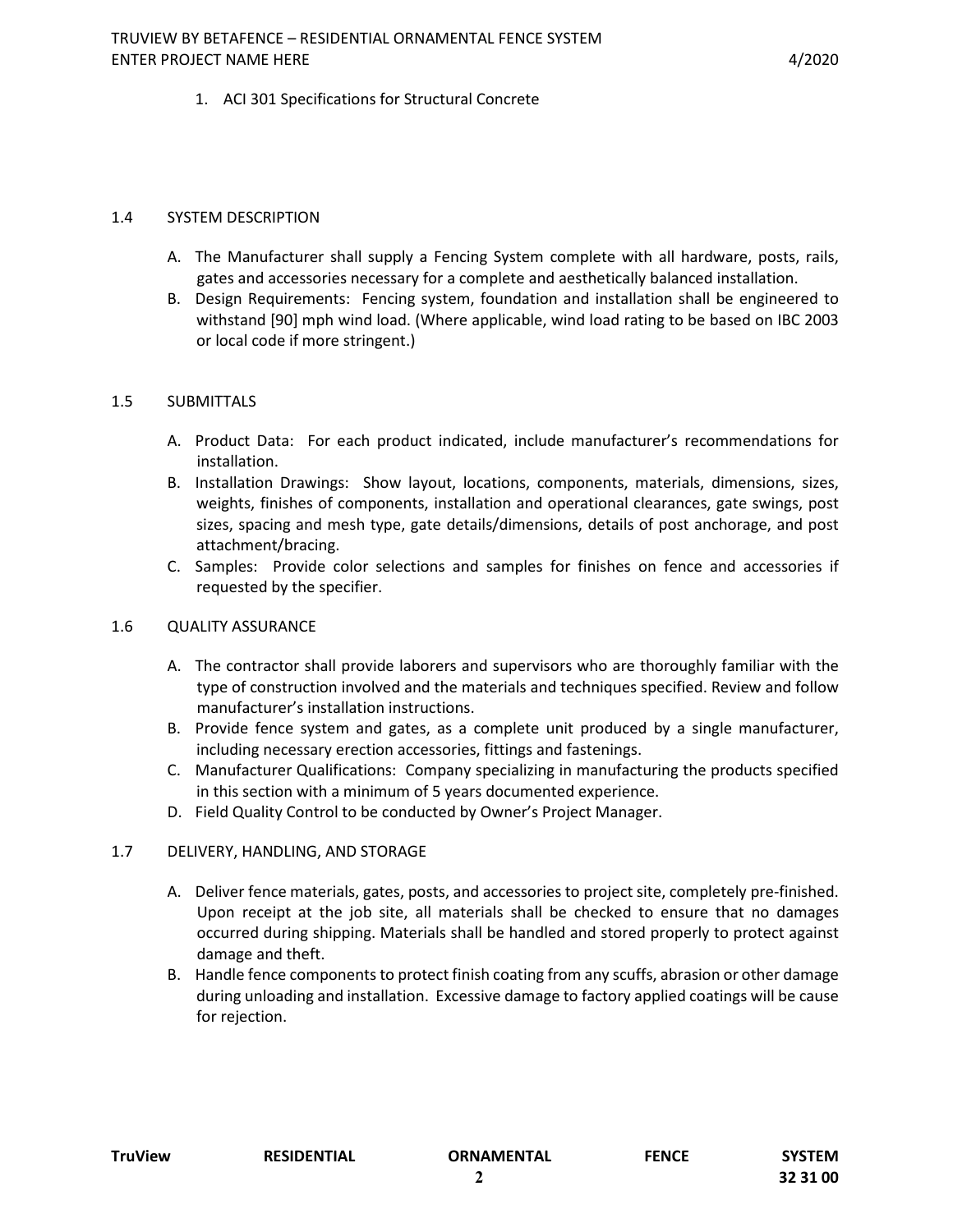## 1. ACI 301 Specifications for Structural Concrete

### 1.4 SYSTEM DESCRIPTION

- A. The Manufacturer shall supply a Fencing System complete with all hardware, posts, rails, gates and accessories necessary for a complete and aesthetically balanced installation.
- B. Design Requirements: Fencing system, foundation and installation shall be engineered to withstand [90] mph wind load. (Where applicable, wind load rating to be based on IBC 2003 or local code if more stringent.)

### 1.5 SUBMITTALS

- A. Product Data: For each product indicated, include manufacturer's recommendations for installation.
- B. Installation Drawings: Show layout, locations, components, materials, dimensions, sizes, weights, finishes of components, installation and operational clearances, gate swings, post sizes, spacing and mesh type, gate details/dimensions, details of post anchorage, and post attachment/bracing.
- C. Samples: Provide color selections and samples for finishes on fence and accessories if requested by the specifier.

#### 1.6 QUALITY ASSURANCE

- A. The contractor shall provide laborers and supervisors who are thoroughly familiar with the type of construction involved and the materials and techniques specified. Review and follow manufacturer's installation instructions.
- B. Provide fence system and gates, as a complete unit produced by a single manufacturer, including necessary erection accessories, fittings and fastenings.
- C. Manufacturer Qualifications: Company specializing in manufacturing the products specified in this section with a minimum of 5 years documented experience.
- D. Field Quality Control to be conducted by Owner's Project Manager.

#### 1.7 DELIVERY, HANDLING, AND STORAGE

- A. Deliver fence materials, gates, posts, and accessories to project site, completely pre-finished. Upon receipt at the job site, all materials shall be checked to ensure that no damages occurred during shipping. Materials shall be handled and stored properly to protect against damage and theft.
- B. Handle fence components to protect finish coating from any scuffs, abrasion or other damage during unloading and installation. Excessive damage to factory applied coatings will be cause for rejection.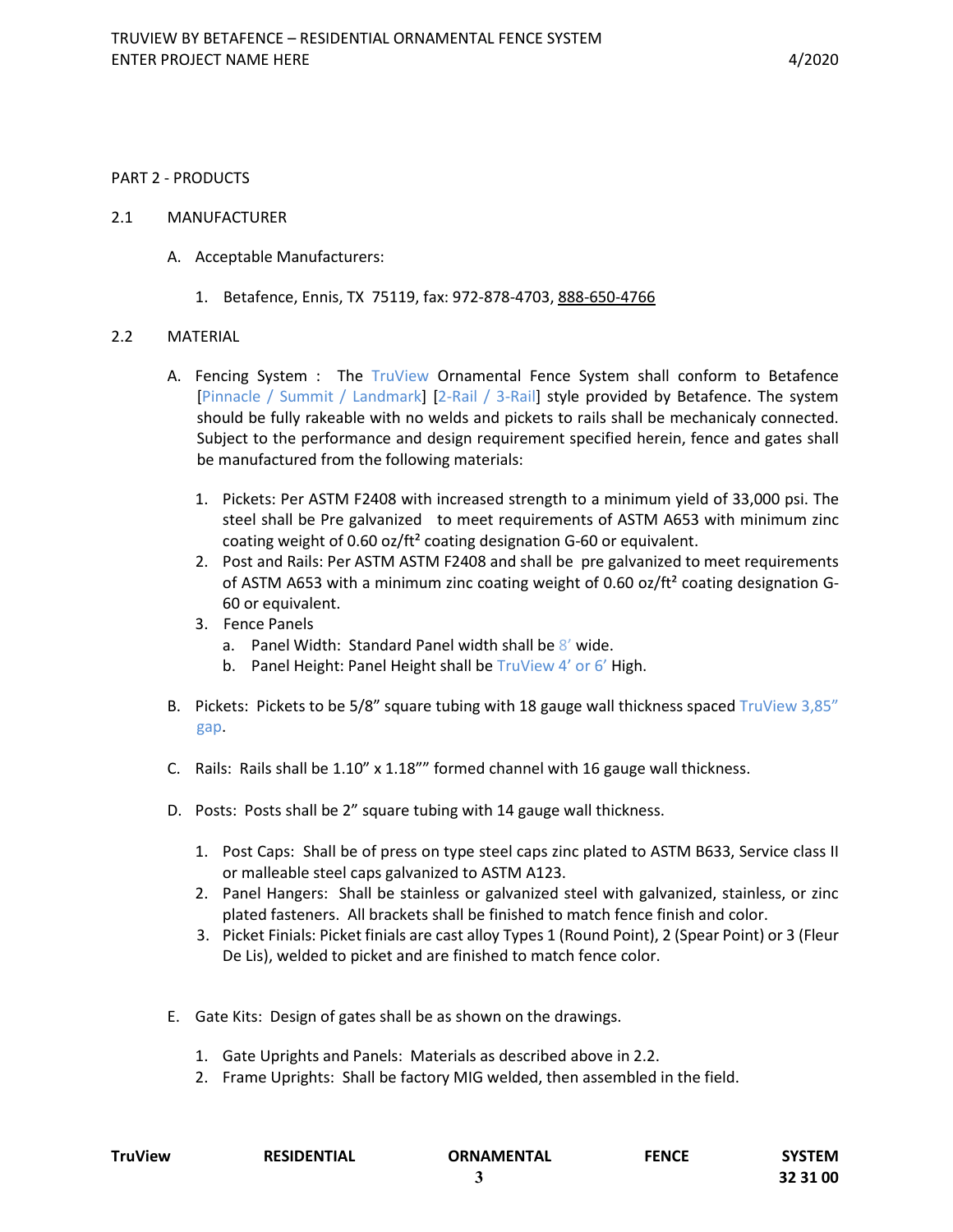#### PART 2 - PRODUCTS

- 2.1 MANUFACTURER
	- A. Acceptable Manufacturers:
		- 1. Betafence, Ennis, TX 75119, fax: 972-878-4703, 888-650-4766

### 2.2 MATERIAL

- A. Fencing System : The TruView Ornamental Fence System shall conform to Betafence [Pinnacle / Summit / Landmark] [2-Rail / 3-Rail] style provided by Betafence. The system should be fully rakeable with no welds and pickets to rails shall be mechanicaly connected. Subject to the performance and design requirement specified herein, fence and gates shall be manufactured from the following materials:
	- 1. Pickets: Per ASTM F2408 with increased strength to a minimum yield of 33,000 psi. The steel shall be Pre galvanized to meet requirements of ASTM A653 with minimum zinc coating weight of 0.60 oz/ft² coating designation G-60 or equivalent.
	- 2. Post and Rails: Per ASTM ASTM F2408 and shall be pre galvanized to meet requirements of ASTM A653 with a minimum zinc coating weight of 0.60 oz/ft<sup>2</sup> coating designation G-60 or equivalent.
	- 3. Fence Panels
		- a. Panel Width: Standard Panel width shall be  $8'$  wide.
		- b. Panel Height: Panel Height shall be TruView 4' or 6' High.
- B. Pickets: Pickets to be 5/8" square tubing with 18 gauge wall thickness spaced TruView 3,85" gap.
- C. Rails: Rails shall be  $1.10''$  x  $1.18'''$  formed channel with 16 gauge wall thickness.
- D. Posts: Posts shall be 2" square tubing with 14 gauge wall thickness.
	- 1. Post Caps: Shall be of press on type steel caps zinc plated to ASTM B633, Service class II or malleable steel caps galvanized to ASTM A123.
	- 2. Panel Hangers: Shall be stainless or galvanized steel with galvanized, stainless, or zinc plated fasteners. All brackets shall be finished to match fence finish and color.
	- 3. Picket Finials: Picket finials are cast alloy Types 1 (Round Point), 2 (Spear Point) or 3 (Fleur De Lis), welded to picket and are finished to match fence color.
- E. Gate Kits: Design of gates shall be as shown on the drawings.
	- 1. Gate Uprights and Panels: Materials as described above in 2.2.
	- 2. Frame Uprights: Shall be factory MIG welded, then assembled in the field.

| TruView | <b>RESIDENTIAL</b> | ORNAMENTAL | <b>FENCE</b> | SYSTEM   |
|---------|--------------------|------------|--------------|----------|
|         |                    |            |              | 32 31 00 |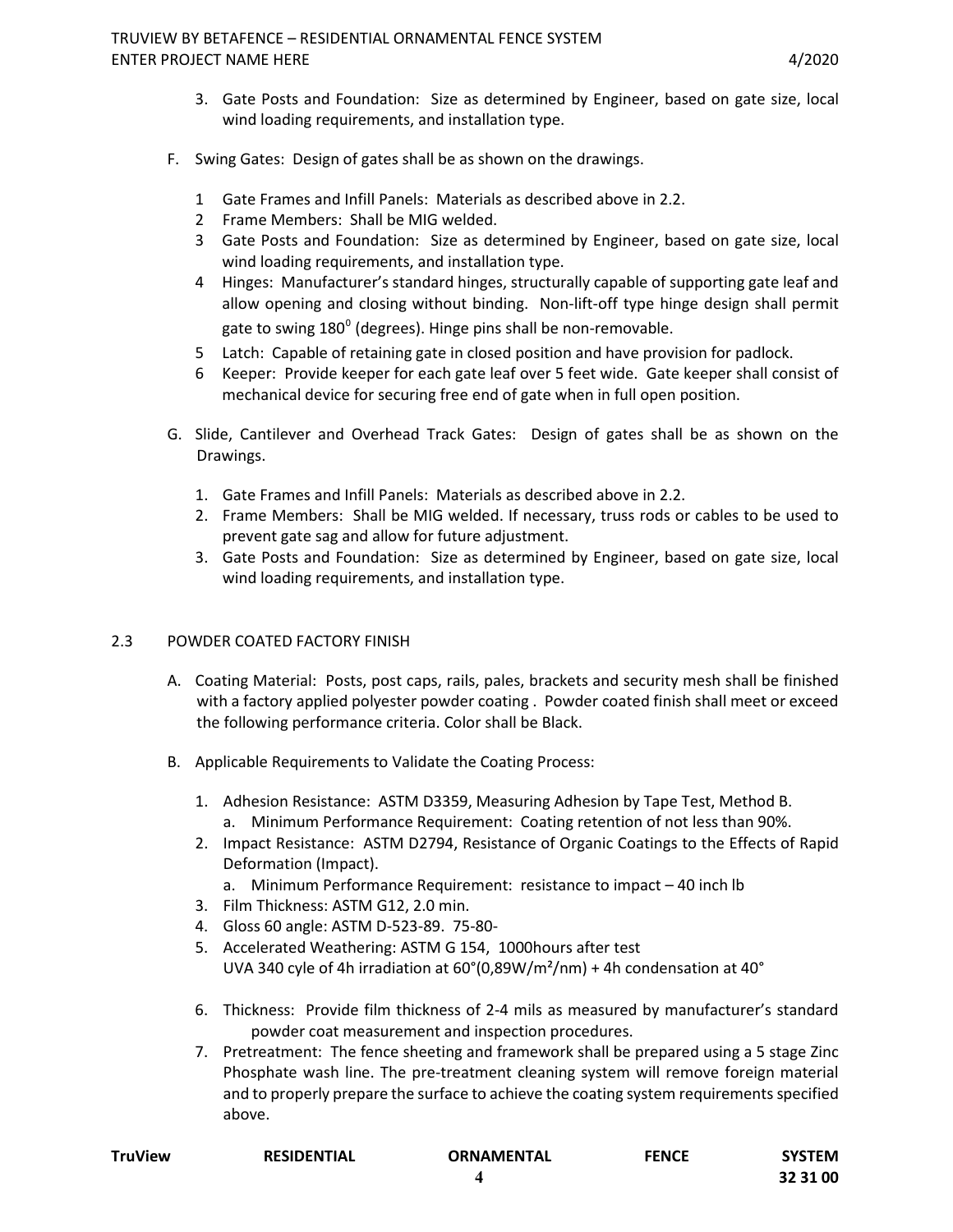- 3. Gate Posts and Foundation: Size as determined by Engineer, based on gate size, local wind loading requirements, and installation type.
- F. Swing Gates: Design of gates shall be as shown on the drawings.
	- 1 Gate Frames and Infill Panels: Materials as described above in 2.2.
	- 2 Frame Members: Shall be MIG welded.
	- 3 Gate Posts and Foundation: Size as determined by Engineer, based on gate size, local wind loading requirements, and installation type.
	- 4 Hinges: Manufacturer's standard hinges, structurally capable of supporting gate leaf and allow opening and closing without binding. Non-lift-off type hinge design shall permit gate to swing  $180^{\circ}$  (degrees). Hinge pins shall be non-removable.
	- 5 Latch: Capable of retaining gate in closed position and have provision for padlock.
	- 6 Keeper: Provide keeper for each gate leaf over 5 feet wide. Gate keeper shall consist of mechanical device for securing free end of gate when in full open position.
- G. Slide, Cantilever and Overhead Track Gates: Design of gates shall be as shown on the Drawings.
	- 1. Gate Frames and Infill Panels: Materials as described above in 2.2.
	- 2. Frame Members: Shall be MIG welded. If necessary, truss rods or cables to be used to prevent gate sag and allow for future adjustment.
	- 3. Gate Posts and Foundation: Size as determined by Engineer, based on gate size, local wind loading requirements, and installation type.

## 2.3 POWDER COATED FACTORY FINISH

- A. Coating Material: Posts, post caps, rails, pales, brackets and security mesh shall be finished with a factory applied polyester powder coating . Powder coated finish shall meet or exceed the following performance criteria. Color shall be Black.
- B. Applicable Requirements to Validate the Coating Process:
	- 1. Adhesion Resistance: ASTM D3359, Measuring Adhesion by Tape Test, Method B. a. Minimum Performance Requirement: Coating retention of not less than 90%.
	- 2. Impact Resistance: ASTM D2794, Resistance of Organic Coatings to the Effects of Rapid Deformation (Impact).
		- a. Minimum Performance Requirement: resistance to impact 40 inch lb
	- 3. Film Thickness: ASTM G12, 2.0 min.
	- 4. Gloss 60 angle: ASTM D-523-89. 75-80-
	- 5. Accelerated Weathering: ASTM G 154, 1000hours after test UVA 340 cyle of 4h irradiation at  $60^{\circ}$ (0,89W/m<sup>2</sup>/nm) + 4h condensation at 40 $^{\circ}$
	- 6. Thickness: Provide film thickness of 2-4 mils as measured by manufacturer's standard powder coat measurement and inspection procedures.
	- 7. Pretreatment: The fence sheeting and framework shall be prepared using a 5 stage Zinc Phosphate wash line. The pre-treatment cleaning system will remove foreign material and to properly prepare the surface to achieve the coating system requirements specified above.

| TruView | <b>RESIDENTIAL</b> | <b>ORNAMENTAL</b> | <b>FENCE</b> | <b>SYSTEM</b> |
|---------|--------------------|-------------------|--------------|---------------|
|         |                    |                   |              | 32 31 00      |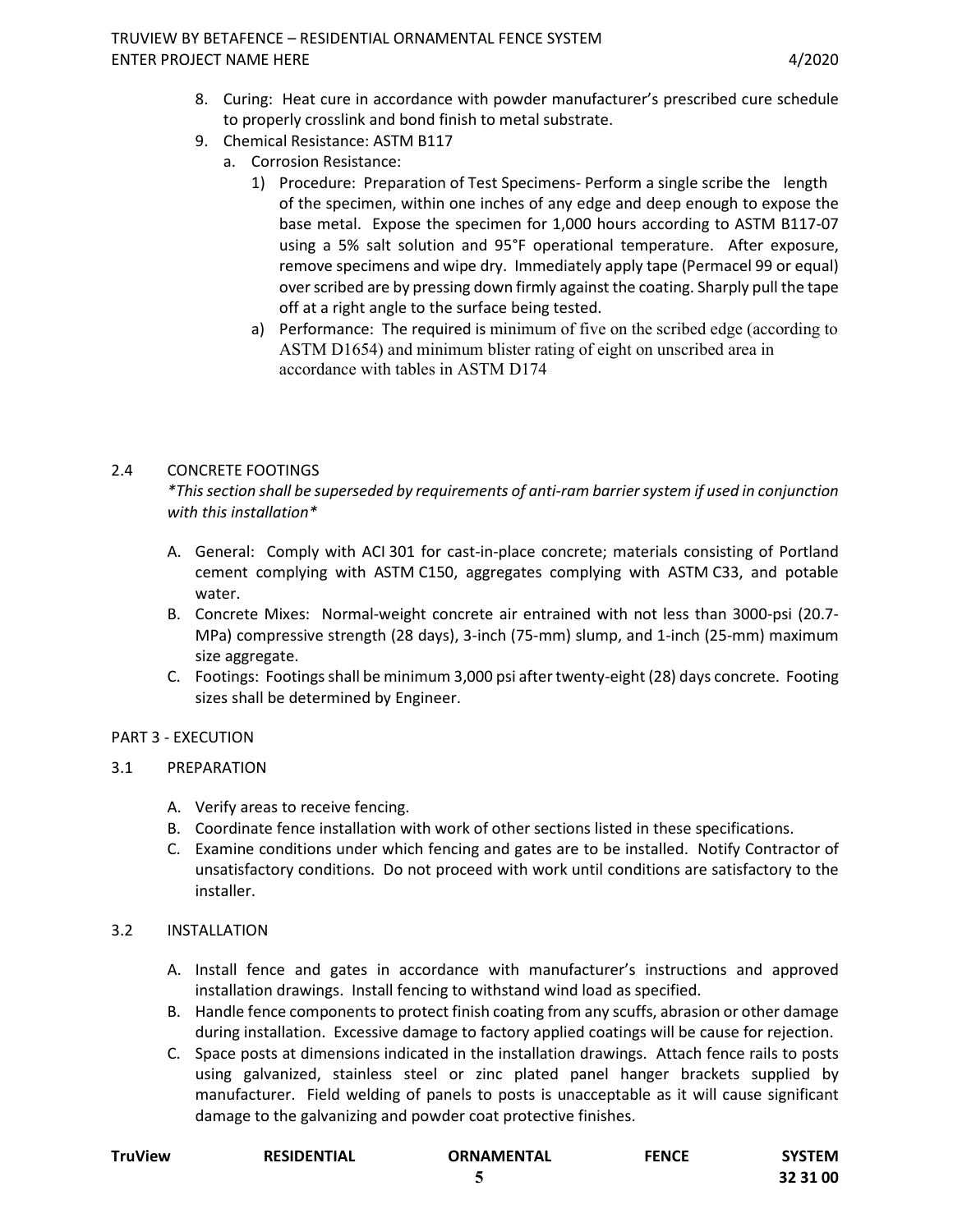- 8. Curing: Heat cure in accordance with powder manufacturer's prescribed cure schedule to properly crosslink and bond finish to metal substrate.
- 9. Chemical Resistance: ASTM B117
	- a. Corrosion Resistance:
		- 1) Procedure: Preparation of Test Specimens- Perform a single scribe the length of the specimen, within one inches of any edge and deep enough to expose the base metal. Expose the specimen for 1,000 hours according to ASTM B117-07 using a 5% salt solution and 95°F operational temperature. After exposure, remove specimens and wipe dry. Immediately apply tape (Permacel 99 or equal) over scribed are by pressing down firmly against the coating. Sharply pull the tape off at a right angle to the surface being tested.
		- a) Performance: The required is minimum of five on the scribed edge (according to ASTM D1654) and minimum blister rating of eight on unscribed area in accordance with tables in ASTM D174

# 2.4 CONCRETE FOOTINGS

*\*This section shall be superseded by requirements of anti-ram barrier system if used in conjunction with this installation\**

- A. General: Comply with ACI 301 for cast-in-place concrete; materials consisting of Portland cement complying with ASTM C150, aggregates complying with ASTM C33, and potable water.
- B. Concrete Mixes: Normal-weight concrete air entrained with not less than 3000-psi (20.7- MPa) compressive strength (28 days), 3-inch (75-mm) slump, and 1-inch (25-mm) maximum size aggregate.
- C. Footings: Footings shall be minimum 3,000 psi after twenty-eight (28) days concrete. Footing sizes shall be determined by Engineer.

## PART 3 - EXECUTION

## 3.1 PREPARATION

- A. Verify areas to receive fencing.
- B. Coordinate fence installation with work of other sections listed in these specifications.
- C. Examine conditions under which fencing and gates are to be installed. Notify Contractor of unsatisfactory conditions. Do not proceed with work until conditions are satisfactory to the installer.

## 3.2 INSTALLATION

- A. Install fence and gates in accordance with manufacturer's instructions and approved installation drawings. Install fencing to withstand wind load as specified.
- B. Handle fence components to protect finish coating from any scuffs, abrasion or other damage during installation. Excessive damage to factory applied coatings will be cause for rejection.
- C. Space posts at dimensions indicated in the installation drawings. Attach fence rails to posts using galvanized, stainless steel or zinc plated panel hanger brackets supplied by manufacturer. Field welding of panels to posts is unacceptable as it will cause significant damage to the galvanizing and powder coat protective finishes.

| <b>TruView</b> | <b>RESIDENTIAL</b> | ORNAMENTAL | <b>FENCE</b> | SYSTEM   |
|----------------|--------------------|------------|--------------|----------|
|                |                    |            |              | 32 31 00 |